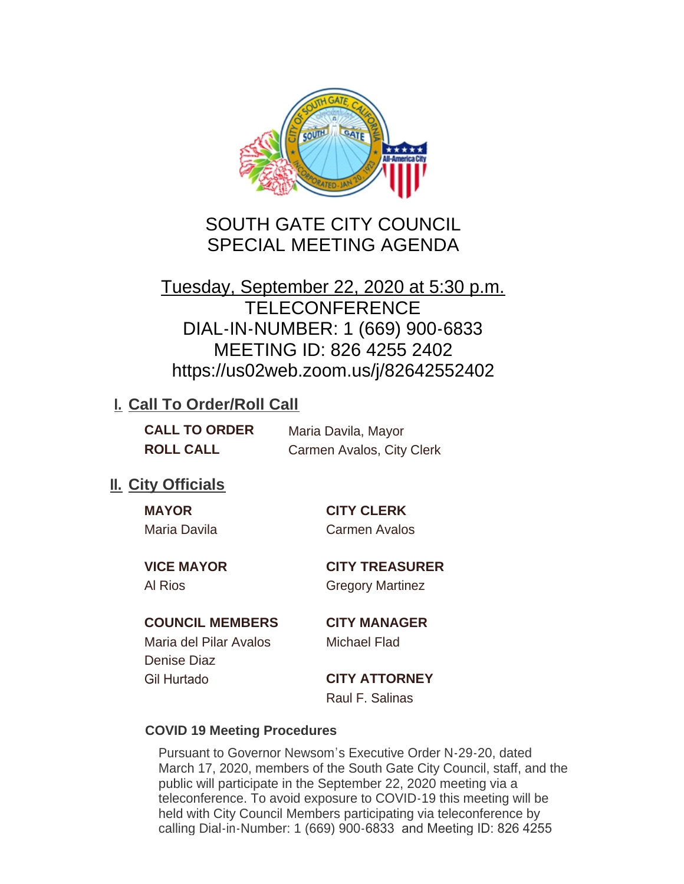

# SOUTH GATE CITY COUNCIL SPECIAL MEETING AGENDA

# Tuesday, September 22, 2020 at 5:30 p.m. **TELECONFERENCE** DIAL-IN-NUMBER: 1 (669) 900-6833 MEETING ID: 826 4255 2402 https://us02web.zoom.us/j/82642552402

# **I. Call To Order/Roll Call**

| <b>CALL TO ORDER</b> | Maria Davila, Mayor       |
|----------------------|---------------------------|
| <b>ROLL CALL</b>     | Carmen Avalos, City Clerk |

# **II.** City Officials

| <b>MAYOR</b> |  |
|--------------|--|
| Maria Davila |  |

**MAYOR CITY CLERK** Carmen Avalos

**VICE MAYOR CITY TREASURER** Al Rios Gregory Martinez

### **COUNCIL MEMBERS CITY MANAGER**

Maria del Pilar Avalos Michael Flad Denise Diaz Gil Hurtado **CITY ATTORNEY**

Raul F. Salinas

### **COVID 19 Meeting Procedures**

Pursuant to Governor Newsom's Executive Order N-29-20, dated March 17, 2020, members of the South Gate City Council, staff, and the public will participate in the September 22, 2020 meeting via a teleconference. To avoid exposure to COVID-19 this meeting will be held with City Council Members participating via teleconference by calling Dial-in-Number: 1 (669) 900-6833 and Meeting ID: 826 4255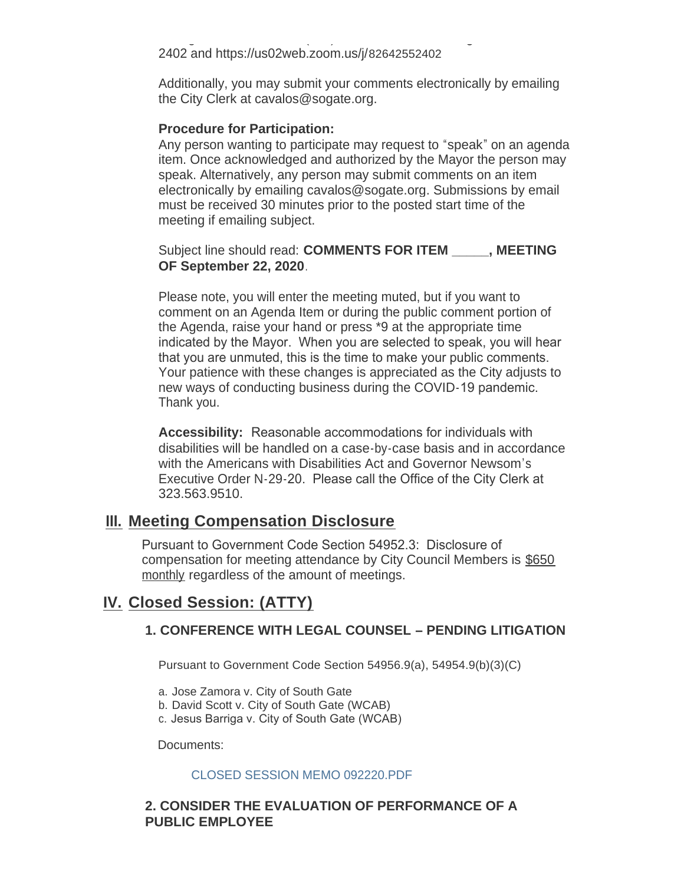calling Dial-in-Number: 1 (669) 900-6833 and Meeting ID: 826 4255 2402 and https://us02web.zoom.us/j/82642552402

Additionally, you may submit your comments electronically by emailing the City Clerk at cavalos@sogate.org.

#### **Procedure for Participation:**

Any person wanting to participate may request to "speak" on an agenda item. Once acknowledged and authorized by the Mayor the person may speak. Alternatively, any person may submit comments on an item electronically by emailing cavalos@sogate.org. Submissions by email must be received 30 minutes prior to the posted start time of the meeting if emailing subject.

```
Subject line should read: COMMENTS FOR ITEM _____, MEETING 
OF September 22, 2020.
```
Please note, you will enter the meeting muted, but if you want to comment on an Agenda Item or during the public comment portion of the Agenda, raise your hand or press \*9 at the appropriate time indicated by the Mayor. When you are selected to speak, you will hear that you are unmuted, this is the time to make your public comments. Your patience with these changes is appreciated as the City adjusts to new ways of conducting business during the COVID-19 pandemic. Thank you.

**Accessibility:** Reasonable accommodations for individuals with disabilities will be handled on a case-by-case basis and in accordance with the Americans with Disabilities Act and Governor Newsom's Executive Order N-29-20. Please call the Office of the City Clerk at 323.563.9510.

### **Meeting Compensation Disclosure III.**

Pursuant to Government Code Section 54952.3: Disclosure of compensation for meeting attendance by City Council Members is \$650 monthly regardless of the amount of meetings.

# **Closed Session: (ATTY) IV.**

#### **1. CONFERENCE WITH LEGAL COUNSEL – PENDING LITIGATION**

Pursuant to Government Code Section 54956.9(a), 54954.9(b)(3)(C)

- a. Jose Zamora v. City of South Gate
- b. David Scott v. City of South Gate (WCAB)
- c. Jesus Barriga v. City of South Gate (WCAB)

Documents:

#### CLOSED SESSION MEMO 092220.PDF

#### **2. CONSIDER THE EVALUATION OF PERFORMANCE OF A PUBLIC EMPLOYEE**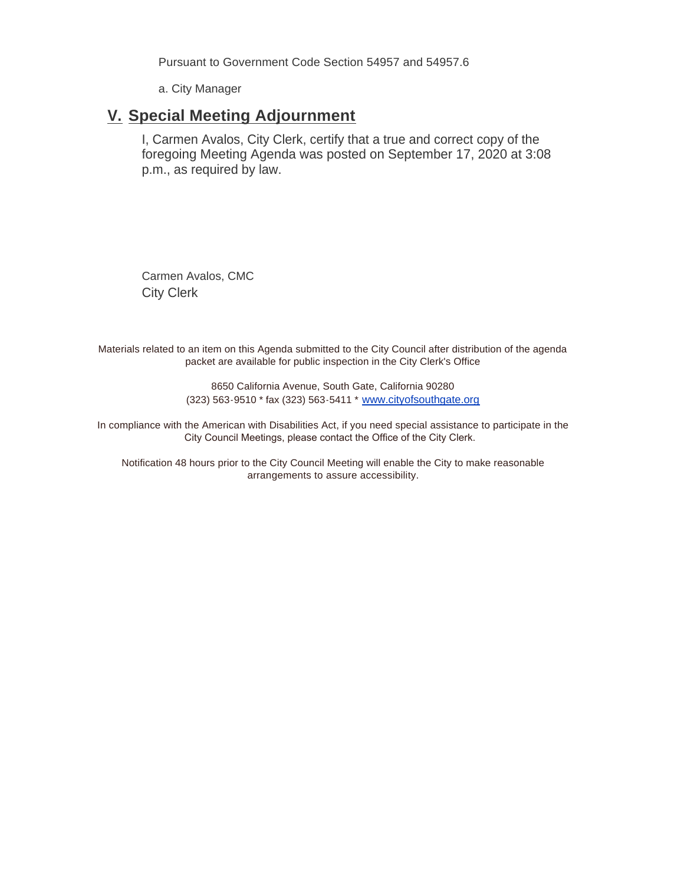Pursuant to Government Code Section 54957 and 54957.6

a. City Manager

### **Special Meeting Adjournment V.**

I, Carmen Avalos, City Clerk, certify that a true and correct copy of the foregoing Meeting Agenda was posted on September 17, 2020 at 3:08 p.m., as required by law.

Carmen Avalos, CMC City Clerk

Materials related to an item on this Agenda submitted to the City Council after distribution of the agenda packet are available for public inspection in the City Clerk's Office

> 8650 California Avenue, South Gate, California 90280 (323) 563-9510 \* fax (323) 563-5411 \* [www.cityofsouthgate.org](http://www.cityofsouthgate.org/)

In compliance with the American with Disabilities Act, if you need special assistance to participate in the City Council Meetings, please contact the Office of the City Clerk.

Notification 48 hours prior to the City Council Meeting will enable the City to make reasonable arrangements to assure accessibility.